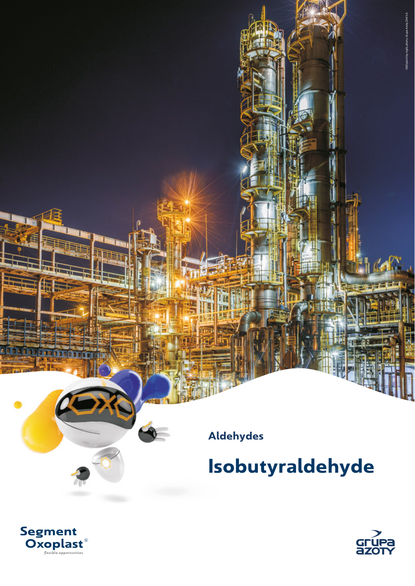**Aldehydes**

**Isobutyraldehyde**



ĥ.



OXO plant by night, photo, Grupa Azoty ZAK S.A.

OXO plant by night